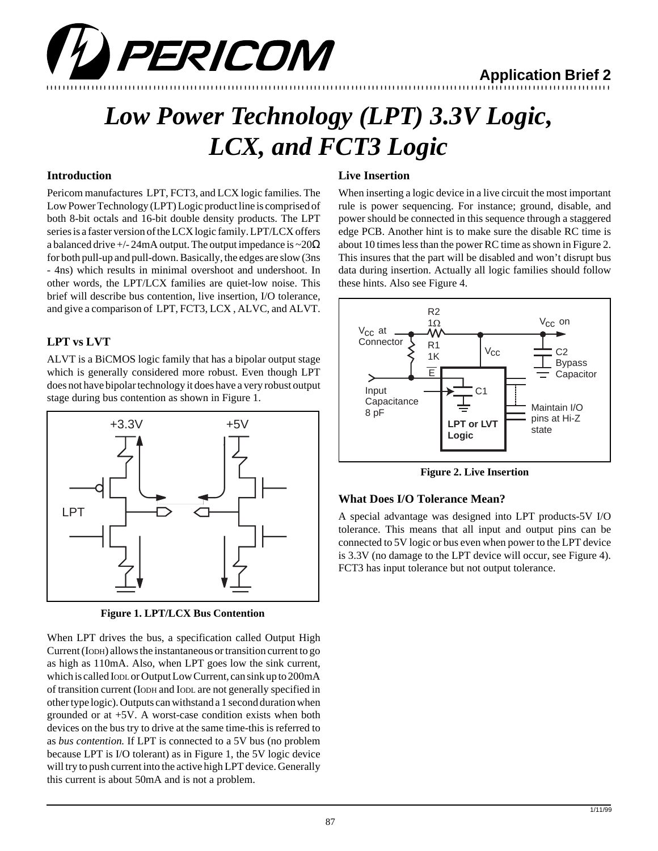

## **Application Brief 2**

# *Low Power Technology (LPT) 3.3V Logic, LCX, and FCT3 Logic*

#### **Introduction**

Pericom manufactures LPT, FCT3, and LCX logic families. The Low Power Technology (LPT) Logic product line is comprised of both 8-bit octals and 16-bit double density products. The LPT series is a faster version of the LCX logic family. LPT/LCX offers a balanced drive  $+/- 24$ mA output. The output impedance is  $\sim 20\Omega$ for both pull-up and pull-down. Basically, the edges are slow (3ns - 4ns) which results in minimal overshoot and undershoot. In other words, the LPT/LCX families are quiet-low noise. This brief will describe bus contention, live insertion, I/O tolerance, and give a comparison of LPT, FCT3, LCX , ALVC, and ALVT.

#### **LPT vs LVT**

ALVT is a BiCMOS logic family that has a bipolar output stage which is generally considered more robust. Even though LPT does not have bipolar technology it does have a very robust output stage during bus contention as shown in Figure 1.



**Figure 1. LPT/LCX Bus Contention**

When LPT drives the bus, a specification called Output High Current (IODH) allows the instantaneous or transition current to go as high as 110mA. Also, when LPT goes low the sink current, which is called IODL or Output Low Current, can sink up to 200mA of transition current (IODH and IODL are not generally specified in other type logic). Outputs can withstand a 1 second duration when grounded or at +5V. A worst-case condition exists when both devices on the bus try to drive at the same time-this is referred to as *bus contention.* If LPT is connected to a 5V bus (no problem because LPT is I/O tolerant) as in Figure 1, the 5V logic device will try to push current into the active high LPT device. Generally this current is about 50mA and is not a problem.

#### **Live Insertion**

When inserting a logic device in a live circuit the most important rule is power sequencing. For instance; ground, disable, and power should be connected in this sequence through a staggered edge PCB. Another hint is to make sure the disable RC time is about 10 times less than the power RC time as shown in Figure 2. This insures that the part will be disabled and won't disrupt bus data during insertion. Actually all logic families should follow these hints. Also see Figure 4.



**Figure 2. Live Insertion**

#### **What Does I/O Tolerance Mean?**

A special advantage was designed into LPT products-5V I/O tolerance. This means that all input and output pins can be connected to 5V logic or bus even when power to the LPT device is 3.3V (no damage to the LPT device will occur, see Figure 4). FCT3 has input tolerance but not output tolerance.